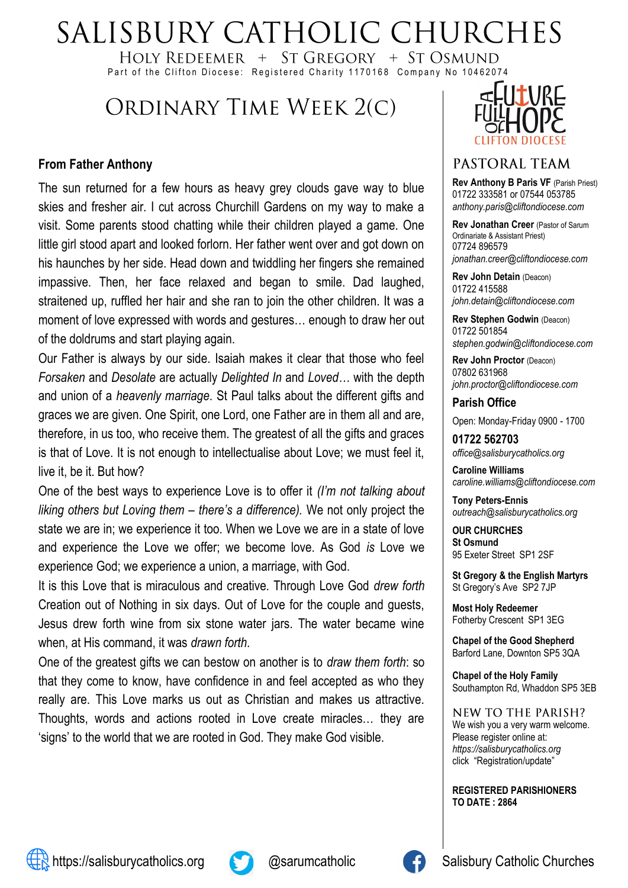# SALISBURY CATHOLIC CHURCHES

HOLY REDEEMER + ST GREGORY + ST OSMUND Part of the Clifton Diocese: Registered Charity 1170168 Company No 10462074

## ORDINARY TIME WEEK 2(C)

#### **From Father Anthony**

The sun returned for a few hours as heavy grey clouds gave way to blue skies and fresher air. I cut across Churchill Gardens on my way to make a visit. Some parents stood chatting while their children played a game. One little girl stood apart and looked forlorn. Her father went over and got down on his haunches by her side. Head down and twiddling her fingers she remained impassive. Then, her face relaxed and began to smile. Dad laughed, straitened up, ruffled her hair and she ran to join the other children. It was a moment of love expressed with words and gestures… enough to draw her out of the doldrums and start playing again.

Our Father is always by our side. Isaiah makes it clear that those who feel *Forsaken* and *Desolate* are actually *Delighted In* and *Loved…* with the depth and union of a *heavenly marriage*. St Paul talks about the different gifts and graces we are given. One Spirit, one Lord, one Father are in them all and are, therefore, in us too, who receive them. The greatest of all the gifts and graces is that of Love. It is not enough to intellectualise about Love; we must feel it, live it, be it. But how?

One of the best ways to experience Love is to offer it *(I'm not talking about liking others but Loving them – there's a difference).* We not only project the state we are in; we experience it too. When we Love we are in a state of love and experience the Love we offer; we become love. As God *is* Love we experience God; we experience a union, a marriage, with God.

It is this Love that is miraculous and creative. Through Love God *drew forth* Creation out of Nothing in six days. Out of Love for the couple and guests, Jesus drew forth wine from six stone water jars. The water became wine when, at His command, it was *drawn forth*.

One of the greatest gifts we can bestow on another is to *draw them forth*: so that they come to know, have confidence in and feel accepted as who they really are. This Love marks us out as Christian and makes us attractive. Thoughts, words and actions rooted in Love create miracles… they are 'signs' to the world that we are rooted in God. They make God visible.



#### PASTORAL TEAM

**Rev Anthony B Paris VF** (Parish Priest) 01722 333581 or 07544 053785 *anthony.paris@cliftondiocese.com*

**Rev Jonathan Creer** (Pastor of Sarum Ordinariate & Assistant Priest) 07724 896579 *jonathan.creer@cliftondiocese.com*

**Rev John Detain** (Deacon) 01722 415588 *john.detain@cliftondiocese.com*

**Rev Stephen Godwin (Deacon)** 01722 501854 *stephen.godwin@cliftondiocese.com*

**Rev John Proctor** (Deacon) 07802 631968 *john.proctor@cliftondiocese.com*

**Parish Office**  Open: Monday-Friday 0900 - 1700

**01722 562703** *office@salisburycatholics.org*

**Caroline Williams** *caroline.williams@cliftondiocese.com*

**Tony Peters-Ennis** *outreach@salisburycatholics.org*

**OUR CHURCHES St Osmund** 95 Exeter Street SP1 2SF

**St Gregory & the English Martyrs** St Gregory's Ave SP2 7JP

**Most Holy Redeemer**  Fotherby Crescent SP1 3EG

**Chapel of the Good Shepherd** Barford Lane, Downton SP5 3QA

**Chapel of the Holy Family** Southampton Rd, Whaddon SP5 3EB

NEW TO THE PARISH? We wish you a very warm welcome. Please register online at: *[https://salisburycatholics.org](https://p1.pamis.co.uk/salisbury/onlined01cab)*  [click "Registration/update"](https://p1.pamis.co.uk/salisbury/onlined01cab) 

**REGISTERED PARISHIONERS TO DATE : 2864**



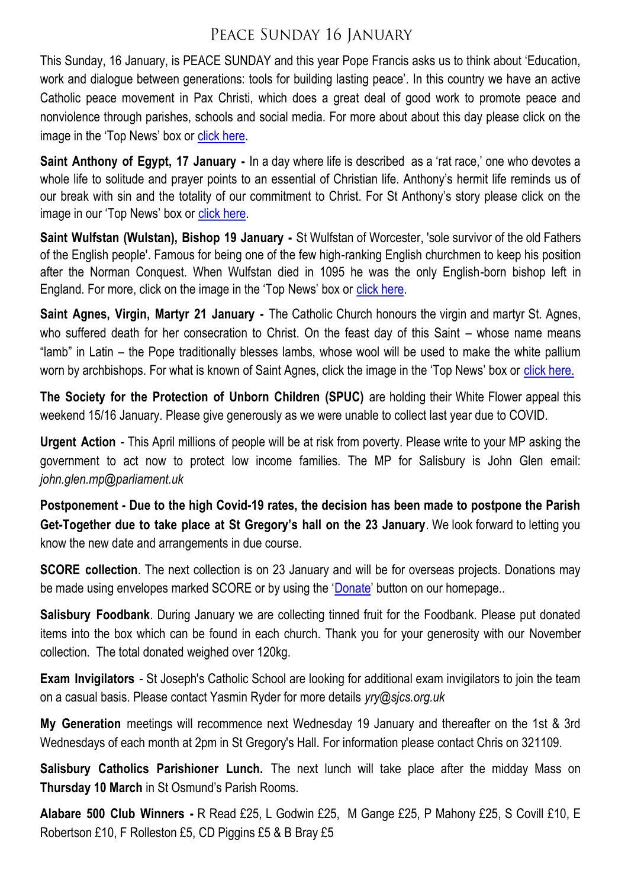### PEACE SUNDAY 16 JANUARY

This Sunday, 16 January, is PEACE SUNDAY and this year Pope Francis asks us to think about 'Education, work and dialogue between generations: tools for building lasting peace'. In this country we have an active Catholic peace movement in Pax Christi, which does a great deal of good work to promote peace and nonviolence through parishes, schools and social media. For more about about this day please click on the image in the 'Top News' box or [click here.](https://salisburycatholics.org/peace-sunday)

**Saint Anthony of Egypt, 17 January -** In a day where life is described as a 'rat race,' one who devotes a whole life to solitude and prayer points to an essential of Christian life. Anthony's hermit life reminds us of our break with sin and the totality of our commitment to Christ. For St Anthony's story please click on the image in our 'Top News' box or [click here.](https://salisburycatholics.org/blog/saint-anthony-egypt)

**Saint Wulfstan (Wulstan), Bishop 19 January -** St Wulfstan of Worcester, 'sole survivor of the old Fathers of the English people'. Famous for being one of the few high-ranking English churchmen to keep his position after the Norman Conquest. When Wulfstan died in 1095 he was the only English-born bishop left in England. For more, click on the image in the 'Top News' box or [click here.](https://salisburycatholics.org/blog/st-wulfstan)

**Saint Agnes, Virgin, Martyr 21 January -** The Catholic Church honours the virgin and martyr St. Agnes, who suffered death for her consecration to Christ. On the feast day of this Saint – whose name means "lamb" in Latin – the Pope traditionally blesses lambs, whose wool will be used to make the white pallium worn by archbishops. For what is known of Saint Agnes, click the image in the 'Top News' box or [click here.](https://salisburycatholics.org/blog/st-agnes)

**The Society for the Protection of Unborn Children (SPUC)** are holding their White Flower appeal this weekend 15/16 January. Please give generously as we were unable to collect last year due to COVID.

**Urgent Action** - This April millions of people will be at risk from poverty. Please write to your MP asking the government to act now to protect low income families. The MP for Salisbury is John Glen email: *john.glen.mp@parliament.uk*

**Postponement - Due to the high Covid-19 rates, the decision has been made to postpone the Parish Get-Together due to take place at St Gregory's hall on the 23 January**. We look forward to letting you know the new date and arrangements in due course.

**SCORE collection**. The next collection is on 23 January and will be for overseas projects. Donations may be made using envelopes marked SCORE or by using the '[Donate](https://salisburycatholics.org/donate-0)' button on our homepage..

**Salisbury Foodbank**. During January we are collecting tinned fruit for the Foodbank. Please put donated items into the box which can be found in each church. Thank you for your generosity with our November collection. The total donated weighed over 120kg.

**Exam Invigilators** - St Joseph's Catholic School are looking for additional exam invigilators to join the team on a casual basis. Please contact Yasmin Ryder for more details *yry@sjcs.org.uk*

**My Generation** meetings will recommence next Wednesday 19 January and thereafter on the 1st & 3rd Wednesdays of each month at 2pm in St Gregory's Hall. For information please contact Chris on 321109.

**Salisbury Catholics Parishioner Lunch.** The next lunch will take place after the midday Mass on **Thursday 10 March** in St Osmund's Parish Rooms.

**Alabare 500 Club Winners -** R Read £25, L Godwin £25, M Gange £25, P Mahony £25, S Covill £10, E Robertson £10, F Rolleston £5, CD Piggins £5 & B Bray £5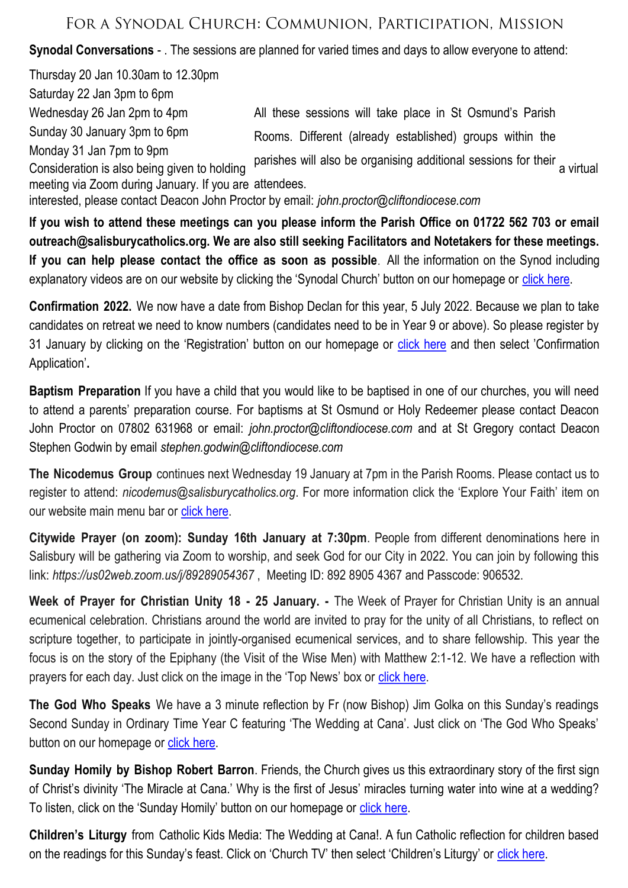### FOR A SYNODAL CHURCH: COMMUNION, PARTICIPATION, MISSION

**Synodal Conversations** - . The sessions are planned for varied times and days to allow everyone to attend:

Thursday 20 Jan 10.30am to 12.30pm Saturday 22 Jan 3pm to 6pm Wednesday 26 Jan 2pm to 4pm Sunday 30 January 3pm to 6pm Monday 31 Jan 7pm to 9pm Consideration is also being given to holding particle will also be organismy additional sessions for their a virtual meeting via Zoom during January. If you are attendees. interested, please contact Deacon John Proctor by email: *john.proctor@cliftondiocese.com* All these sessions will take place in St Osmund's Parish Rooms. Different (already established) groups within the parishes will also be organising additional sessions for their

**If you wish to attend these meetings can you please inform the Parish Office on 01722 562 703 or email outreach@salisburycatholics.org. We are also still seeking Facilitators and Notetakers for these meetings. If you can help please contact the office as soon as possible**. All the information on the Synod including explanatory videos are on our website by clicking the 'Synodal Church' button on our homepage or [click here.](https://salisburycatholics.org/synodal-church)

**Confirmation 2022.** We now have a date from Bishop Declan for this year, 5 July 2022. Because we plan to take candidates on retreat we need to know numbers (candidates need to be in Year 9 or above). So please register by 31 January by clicking on the 'Registration' button on our homepage or [click here](https://p3.pamis.co.uk/salisbury/onlined01cab) and then select 'Confirmation Application'**.** 

**Baptism Preparation** If you have a child that you would like to be baptised in one of our churches, you will need to attend a parents' preparation course. For baptisms at St Osmund or Holy Redeemer please contact Deacon John Proctor on 07802 631968 or email: *john.proctor@cliftondiocese.com* and at St Gregory contact Deacon Stephen Godwin by email *stephen.godwin@cliftondiocese.com*

**The Nicodemus Group** continues next Wednesday 19 January at 7pm in the Parish Rooms. Please contact us to register to attend: *nicodemus@salisburycatholics.org*. For more information click the 'Explore Your Faith' item on our website main menu bar or click here.

**Citywide Prayer (on zoom): Sunday 16th January at 7:30pm**. People from different denominations here in Salisbury will be gathering via Zoom to worship, and seek God for our City in 2022. You can join by following this link: *https://us02web.zoom.us/j/89289054367* , Meeting ID: 892 8905 4367 and Passcode: 906532.

**Week of Prayer for Christian Unity 18 - 25 January. -** The Week of Prayer for Christian Unity is an annual ecumenical celebration. Christians around the world are invited to pray for the unity of all Christians, to reflect on scripture together, to participate in jointly-organised ecumenical services, and to share fellowship. This year the focus is on the story of the Epiphany (the Visit of the Wise Men) with Matthew 2:1-12. We have a reflection with prayers for each day. Just click on the image in the 'Top News' box or [click here.](https://salisburycatholics.org/christian-unity-0) 

**The God Who Speaks** We have a 3 minute reflection by Fr (now Bishop) Jim Golka on this Sunday's readings Second Sunday in Ordinary Time Year C featuring 'The Wedding at Cana'. Just click on 'The God Who Speaks' button on our homepage or [click here.](https://salisburycatholics.org/god-who-speaks)

**Sunday Homily by Bishop Robert Barron**. Friends, the Church gives us this extraordinary story of the first sign of Christ's divinity 'The Miracle at Cana.' Why is the first of Jesus' miracles turning water into wine at a wedding? To listen, click on the 'Sunday Homily' button on our homepage or [click here.](https://salisburycatholics.org/sunday-homily)

**Children's Liturgy** from Catholic Kids Media: The Wedding at Cana!. A fun Catholic reflection for children based on the readings for this Sunday's feast. Click on 'Church TV' then select 'Children's Liturgy' or [click here.](https://salisburycatholics.org/childrens-liturgy)